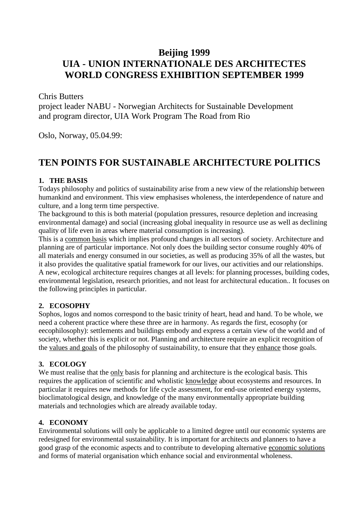### **Beijing 1999**

# **UIA - UNION INTERNATIONALE DES ARCHITECTES WORLD CONGRESS EXHIBITION SEPTEMBER 1999**

Chris Butters

project leader NABU - Norwegian Architects for Sustainable Development and program director, UIA Work Program The Road from Rio

Oslo, Norway, 05.04.99:

## **TEN POINTS FOR SUSTAINABLE ARCHITECTURE POLITICS**

#### **1. THE BASIS**

Todays philosophy and politics of sustainability arise from a new view of the relationship between humankind and environment. This view emphasises wholeness, the interdependence of nature and culture, and a long term time perspective.

The background to this is both material (population pressures, resource depletion and increasing environmental damage) and social (increasing global inequality in resource use as well as declining quality of life even in areas where material consumption is increasing).

This is a common basis which implies profound changes in all sectors of society. Architecture and planning are of particular importance. Not only does the building sector consume roughly 40% of all materials and energy consumed in our societies, as well as producing 35% of all the wastes, but it also provides the qualitative spatial framework for our lives, our activities and our relationships. A new, ecological architecture requires changes at all levels: for planning processes, building codes, environmental legislation, research priorities, and not least for architectural education.. It focuses on the following principles in particular.

#### **2. ECOSOPHY**

Sophos, logos and nomos correspond to the basic trinity of heart, head and hand. To be whole, we need a coherent practice where these three are in harmony. As regards the first, ecosophy (or eecophilosophy): settlements and buildings embody and express a certain view of the world and of society, whether this is explicit or not. Planning and architecture require an explicit recognition of the values and goals of the philosophy of sustainability, to ensure that they enhance those goals.

#### **3. ECOLOGY**

We must realise that the only basis for planning and architecture is the ecological basis. This requires the application of scientific and wholistic knowledge about ecosystems and resources. In particular it requires new methods for life cycle assessment, for end-use oriented energy systems, bioclimatological design, and knowledge of the many environmentally appropriate building materials and technologies which are already available today.

#### **4. ECONOMY**

Environmental solutions will only be applicable to a limited degree until our economic systems are redesigned for environmental sustainability. It is important for architects and planners to have a good grasp of the economic aspects and to contribute to developing alternative economic solutions and forms of material organisation which enhance social and environmental wholeness.